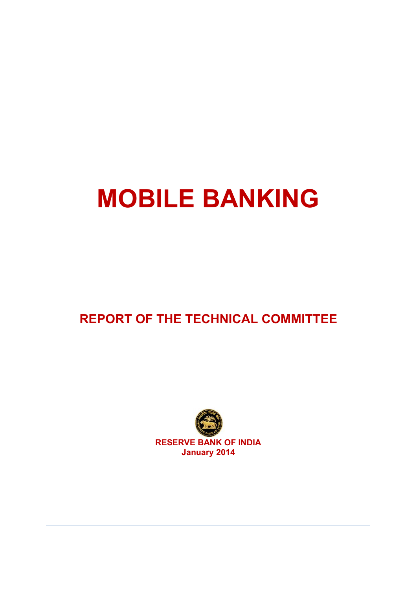# **MOBILE BANKING**

# **REPORT OF THE TECHNICAL COMMITTEE**

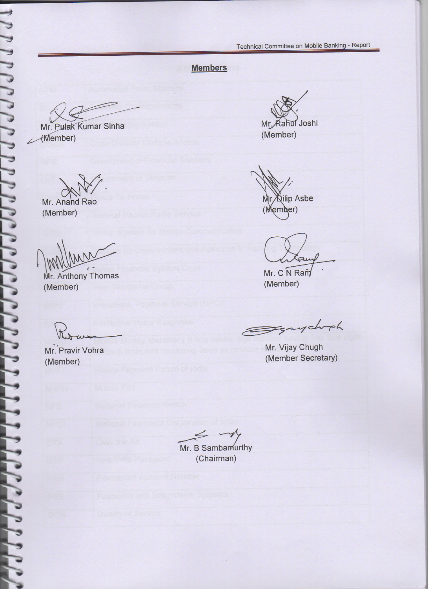### **Members**

Mr. Pułak Kumar Sinha (Member)

Mr. Anand Rao (Member)

Mr. Anthony Thomas (Member)

(Member) (Member Secretary)

Mr. Rahul Joshi (Member)

**Kilip Asbe** (Member)

Mr. C N Ram

(Member)

Eggsychoph

Mr. Pravir Vohra Mr. Vijay Chugh

—*-?\* Mr. B Sambamurthy (Chairman)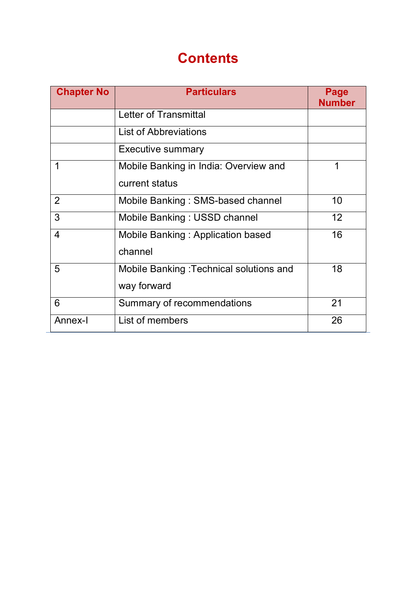# **Contents**

| <b>Chapter No</b> | <b>Particulars</b>                      | Page<br><b>Number</b> |
|-------------------|-----------------------------------------|-----------------------|
|                   | Letter of Transmittal                   |                       |
|                   | <b>List of Abbreviations</b>            |                       |
|                   | <b>Executive summary</b>                |                       |
|                   | Mobile Banking in India: Overview and   | 1                     |
|                   | current status                          |                       |
| $\overline{2}$    | Mobile Banking: SMS-based channel       | 10                    |
| 3                 | Mobile Banking: USSD channel            | 12                    |
| 4                 | Mobile Banking: Application based       | 16                    |
|                   | channel                                 |                       |
| 5                 | Mobile Banking: Technical solutions and | 18                    |
|                   | way forward                             |                       |
| 6                 | Summary of recommendations              | 21                    |
| Annex-I           | List of members                         | 26                    |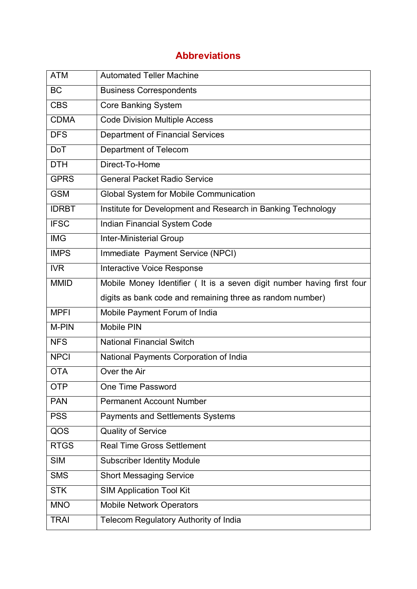# **Abbreviations**

| <b>ATM</b>   | <b>Automated Teller Machine</b>                                        |
|--------------|------------------------------------------------------------------------|
| <b>BC</b>    | <b>Business Correspondents</b>                                         |
| <b>CBS</b>   | <b>Core Banking System</b>                                             |
| <b>CDMA</b>  | <b>Code Division Multiple Access</b>                                   |
| <b>DFS</b>   | <b>Department of Financial Services</b>                                |
| <b>DoT</b>   | Department of Telecom                                                  |
| <b>DTH</b>   | Direct-To-Home                                                         |
| <b>GPRS</b>  | <b>General Packet Radio Service</b>                                    |
| <b>GSM</b>   | Global System for Mobile Communication                                 |
| <b>IDRBT</b> | Institute for Development and Research in Banking Technology           |
| <b>IFSC</b>  | Indian Financial System Code                                           |
| <b>IMG</b>   | <b>Inter-Ministerial Group</b>                                         |
| <b>IMPS</b>  | Immediate Payment Service (NPCI)                                       |
| <b>IVR</b>   | <b>Interactive Voice Response</b>                                      |
| <b>MMID</b>  | Mobile Money Identifier ( It is a seven digit number having first four |
|              | digits as bank code and remaining three as random number)              |
| <b>MPFI</b>  | Mobile Payment Forum of India                                          |
| M-PIN        | <b>Mobile PIN</b>                                                      |
| <b>NFS</b>   | <b>National Financial Switch</b>                                       |
| <b>NPCI</b>  | National Payments Corporation of India                                 |
| <b>OTA</b>   | Over the Air                                                           |
| <b>OTP</b>   | One Time Password                                                      |
| <b>PAN</b>   | <b>Permanent Account Number</b>                                        |
| <b>PSS</b>   | <b>Payments and Settlements Systems</b>                                |
| QOS          | <b>Quality of Service</b>                                              |
| <b>RTGS</b>  | <b>Real Time Gross Settlement</b>                                      |
| <b>SIM</b>   | <b>Subscriber Identity Module</b>                                      |
| <b>SMS</b>   | <b>Short Messaging Service</b>                                         |
| <b>STK</b>   | <b>SIM Application Tool Kit</b>                                        |
| <b>MNO</b>   | <b>Mobile Network Operators</b>                                        |
| <b>TRAI</b>  | Telecom Regulatory Authority of India                                  |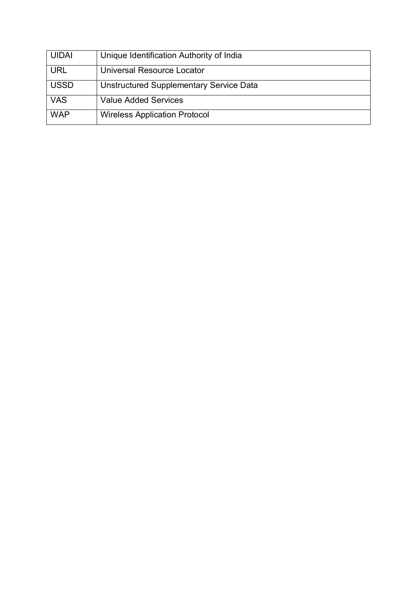| <b>UIDAI</b> | Unique Identification Authority of India |
|--------------|------------------------------------------|
| <b>URL</b>   | <b>Universal Resource Locator</b>        |
| <b>USSD</b>  | Unstructured Supplementary Service Data  |
| <b>VAS</b>   | <b>Value Added Services</b>              |
| <b>WAP</b>   | <b>Wireless Application Protocol</b>     |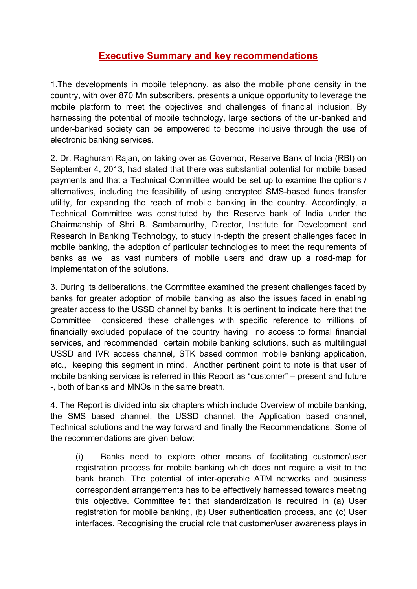# **Executive Summary and key recommendations**

1.The developments in mobile telephony, as also the mobile phone density in the country, with over 870 Mn subscribers, presents a unique opportunity to leverage the mobile platform to meet the objectives and challenges of financial inclusion. By harnessing the potential of mobile technology, large sections of the un-banked and under-banked society can be empowered to become inclusive through the use of electronic banking services.

2. Dr. Raghuram Rajan, on taking over as Governor, Reserve Bank of India (RBI) on September 4, 2013, had stated that there was substantial potential for mobile based payments and that a Technical Committee would be set up to examine the options / alternatives, including the feasibility of using encrypted SMS-based funds transfer utility, for expanding the reach of mobile banking in the country. Accordingly, a Technical Committee was constituted by the Reserve bank of India under the Chairmanship of Shri B. Sambamurthy, Director, Institute for Development and Research in Banking Technology, to study in-depth the present challenges faced in mobile banking, the adoption of particular technologies to meet the requirements of banks as well as vast numbers of mobile users and draw up a road-map for implementation of the solutions.

3. During its deliberations, the Committee examined the present challenges faced by banks for greater adoption of mobile banking as also the issues faced in enabling greater access to the USSD channel by banks. It is pertinent to indicate here that the Committee considered these challenges with specific reference to millions of financially excluded populace of the country having no access to formal financial services, and recommended certain mobile banking solutions, such as multilingual USSD and IVR access channel, STK based common mobile banking application, etc., keeping this segment in mind. Another pertinent point to note is that user of mobile banking services is referred in this Report as "customer" – present and future -, both of banks and MNOs in the same breath.

4. The Report is divided into six chapters which include Overview of mobile banking, the SMS based channel, the USSD channel, the Application based channel, Technical solutions and the way forward and finally the Recommendations. Some of the recommendations are given below:

(i) Banks need to explore other means of facilitating customer/user registration process for mobile banking which does not require a visit to the bank branch. The potential of inter-operable ATM networks and business correspondent arrangements has to be effectively harnessed towards meeting this objective. Committee felt that standardization is required in (a) User registration for mobile banking, (b) User authentication process, and (c) User interfaces. Recognising the crucial role that customer/user awareness plays in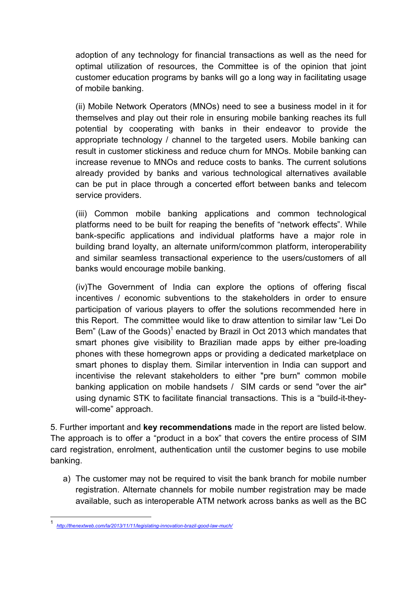adoption of any technology for financial transactions as well as the need for optimal utilization of resources, the Committee is of the opinion that joint customer education programs by banks will go a long way in facilitating usage of mobile banking.

(ii) Mobile Network Operators (MNOs) need to see a business model in it for themselves and play out their role in ensuring mobile banking reaches its full potential by cooperating with banks in their endeavor to provide the appropriate technology / channel to the targeted users. Mobile banking can result in customer stickiness and reduce churn for MNOs. Mobile banking can increase revenue to MNOs and reduce costs to banks. The current solutions already provided by banks and various technological alternatives available can be put in place through a concerted effort between banks and telecom service providers.

(iii) Common mobile banking applications and common technological platforms need to be built for reaping the benefits of "network effects". While bank-specific applications and individual platforms have a major role in building brand loyalty, an alternate uniform/common platform, interoperability and similar seamless transactional experience to the users/customers of all banks would encourage mobile banking.

(iv)The Government of India can explore the options of offering fiscal incentives / economic subventions to the stakeholders in order to ensure participation of various players to offer the solutions recommended here in this Report. The committee would like to draw attention to similar law "Lei Do Bem" (Law of the Goods)<sup>1</sup> [e](#page-6-0)nacted by Brazil in Oct 2013 which mandates that smart phones give visibility to Brazilian made apps by either pre-loading phones with these homegrown apps or providing a dedicated marketplace on smart phones to display them. Similar intervention in India can support and incentivise the relevant stakeholders to either "pre burn" common mobile banking application on mobile handsets / SIM cards or send "over the air" using dynamic STK to facilitate financial transactions. This is a "build-it-theywill-come" approach.

5. Further important and **key recommendations** made in the report are listed below. The approach is to offer a "product in a box" that covers the entire process of SIM card registration, enrolment, authentication until the customer begins to use mobile banking.

a) The customer may not be required to visit the bank branch for mobile number registration. Alternate channels for mobile number registration may be made available, such as interoperable ATM network across banks as well as the BC

<span id="page-6-0"></span><sup>1</sup> *http://thenextweb.com/la/2013/11/11/legislating-innovation-brazil-good-law-much/*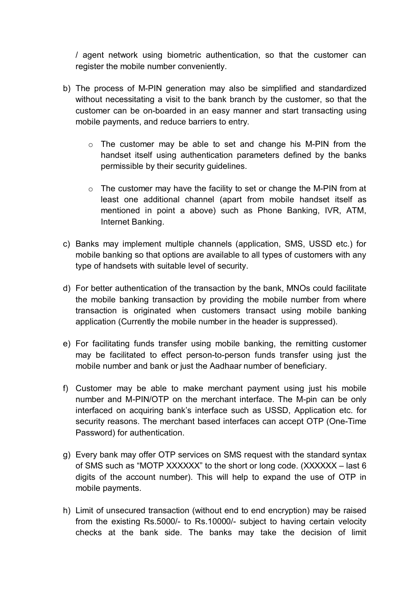/ agent network using biometric authentication, so that the customer can register the mobile number conveniently.

- b) The process of M-PIN generation may also be simplified and standardized without necessitating a visit to the bank branch by the customer, so that the customer can be on-boarded in an easy manner and start transacting using mobile payments, and reduce barriers to entry.
	- o The customer may be able to set and change his M-PIN from the handset itself using authentication parameters defined by the banks permissible by their security guidelines.
	- $\circ$  The customer may have the facility to set or change the M-PIN from at least one additional channel (apart from mobile handset itself as mentioned in point a above) such as Phone Banking, IVR, ATM, Internet Banking.
- c) Banks may implement multiple channels (application, SMS, USSD etc.) for mobile banking so that options are available to all types of customers with any type of handsets with suitable level of security.
- d) For better authentication of the transaction by the bank, MNOs could facilitate the mobile banking transaction by providing the mobile number from where transaction is originated when customers transact using mobile banking application (Currently the mobile number in the header is suppressed).
- e) For facilitating funds transfer using mobile banking, the remitting customer may be facilitated to effect person-to-person funds transfer using just the mobile number and bank or just the Aadhaar number of beneficiary.
- f) Customer may be able to make merchant payment using just his mobile number and M-PIN/OTP on the merchant interface. The M-pin can be only interfaced on acquiring bank's interface such as USSD, Application etc. for security reasons. The merchant based interfaces can accept OTP (One-Time Password) for authentication.
- g) Every bank may offer OTP services on SMS request with the standard syntax of SMS such as "MOTP XXXXXX" to the short or long code. (XXXXXX – last 6 digits of the account number). This will help to expand the use of OTP in mobile payments.
- h) Limit of unsecured transaction (without end to end encryption) may be raised from the existing Rs.5000/- to Rs.10000/- subject to having certain velocity checks at the bank side. The banks may take the decision of limit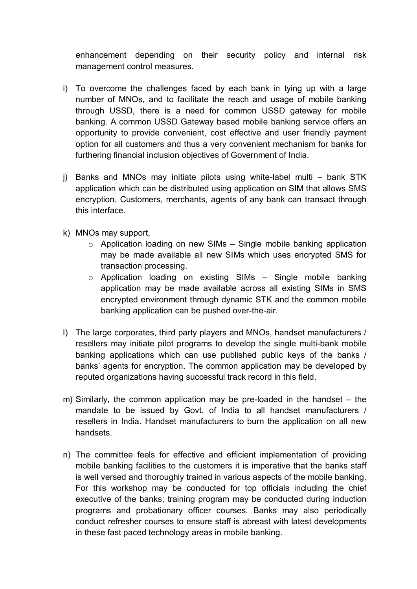enhancement depending on their security policy and internal risk management control measures.

- i) To overcome the challenges faced by each bank in tying up with a large number of MNOs, and to facilitate the reach and usage of mobile banking through USSD, there is a need for common USSD gateway for mobile banking. A common USSD Gateway based mobile banking service offers an opportunity to provide convenient, cost effective and user friendly payment option for all customers and thus a very convenient mechanism for banks for furthering financial inclusion objectives of Government of India.
- j) Banks and MNOs may initiate pilots using white-label multi bank STK application which can be distributed using application on SIM that allows SMS encryption. Customers, merchants, agents of any bank can transact through this interface.
- k) MNOs may support,
	- $\circ$  Application loading on new SIMs Single mobile banking application may be made available all new SIMs which uses encrypted SMS for transaction processing.
	- $\circ$  Application loading on existing SIMs Single mobile banking application may be made available across all existing SIMs in SMS encrypted environment through dynamic STK and the common mobile banking application can be pushed over-the-air.
- l) The large corporates, third party players and MNOs, handset manufacturers / resellers may initiate pilot programs to develop the single multi-bank mobile banking applications which can use published public keys of the banks / banks' agents for encryption. The common application may be developed by reputed organizations having successful track record in this field.
- m) Similarly, the common application may be pre-loaded in the handset the mandate to be issued by Govt. of India to all handset manufacturers / resellers in India. Handset manufacturers to burn the application on all new handsets.
- n) The committee feels for effective and efficient implementation of providing mobile banking facilities to the customers it is imperative that the banks staff is well versed and thoroughly trained in various aspects of the mobile banking. For this workshop may be conducted for top officials including the chief executive of the banks; training program may be conducted during induction programs and probationary officer courses. Banks may also periodically conduct refresher courses to ensure staff is abreast with latest developments in these fast paced technology areas in mobile banking.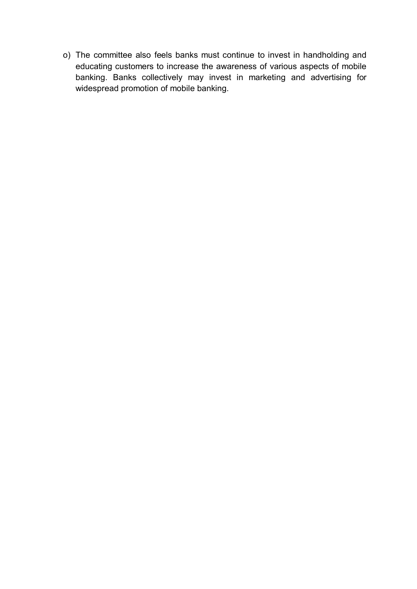o) The committee also feels banks must continue to invest in handholding and educating customers to increase the awareness of various aspects of mobile banking. Banks collectively may invest in marketing and advertising for widespread promotion of mobile banking.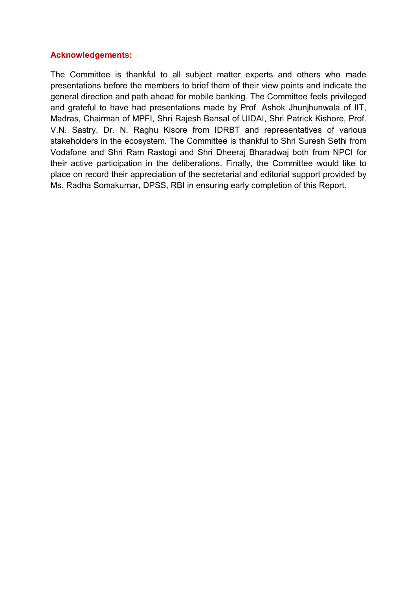### **Acknowledgements:**

The Committee is thankful to all subject matter experts and others who made presentations before the members to brief them of their view points and indicate the general direction and path ahead for mobile banking. The Committee feels privileged and grateful to have had presentations made by Prof. Ashok Jhunjhunwala of IIT, Madras, Chairman of MPFI, Shri Rajesh Bansal of UIDAI, Shri Patrick Kishore, Prof. V.N. Sastry, Dr. N. Raghu Kisore from IDRBT and representatives of various stakeholders in the ecosystem. The Committee is thankful to Shri Suresh Sethi from Vodafone and Shri Ram Rastogi and Shri Dheeraj Bharadwaj both from NPCI for their active participation in the deliberations. Finally, the Committee would like to place on record their appreciation of the secretarial and editorial support provided by Ms. Radha Somakumar, DPSS, RBI in ensuring early completion of this Report.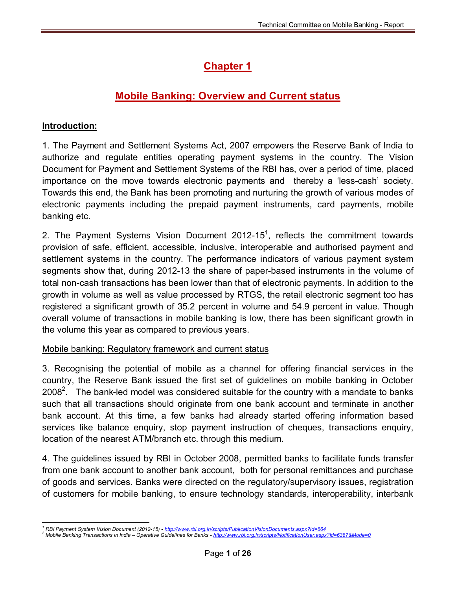# **Chapter 1**

# **Mobile Banking: Overview and Current status**

### **Introduction:**

1. The Payment and Settlement Systems Act, 2007 empowers the Reserve Bank of India to authorize and regulate entities operating payment systems in the country. The Vision Document for Payment and Settlement Systems of the RBI has, over a period of time, placed importance on the move towards electronic payments and thereby a 'less-cash' society. Towards this end, the Bank has been promoting and nurturing the growth of various modes of electronic payments including the prepaid payment instruments, card payments, mobile banking etc.

2. The Payment Systems Vision Document 2012-15<sup>1</sup>[,](#page-11-0) reflects the commitment towards provision of safe, efficient, accessible, inclusive, interoperable and authorised payment and settlement systems in the country. The performance indicators of various payment system segments show that, during 2012-13 the share of paper-based instruments in the volume of total non-cash transactions has been lower than that of electronic payments. In addition to the growth in volume as well as value processed by RTGS, the retail electronic segment too has registered a significant growth of 35.2 percent in volume and 54.9 percent in value. Though overall volume of transactions in mobile banking is low, there has been significant growth in the volume this year as compared to previous years.

### Mobile banking: Regulatory framework and current status

3. Recognising the potential of mobile as a channel for offering financial services in the country, the Reserve Bank issued the first set of guidelines on mobile banking in October 2008<sup>2</sup>[.](#page-11-1) The bank-led model was considered suitable for the country with a mandate to banks such that all transactions should originate from one bank account and terminate in another bank account. At this time, a few banks had already started offering information based services like balance enquiry, stop payment instruction of cheques, transactions enquiry, location of the nearest ATM/branch etc. through this medium.

4. The guidelines issued by RBI in October 2008, permitted banks to facilitate funds transfer from one bank account to another bank account, both for personal remittances and purchase of goods and services. Banks were directed on the regulatory/supervisory issues, registration of customers for mobile banking, to ensure technology standards, interoperability, interbank

<span id="page-11-0"></span>*<sup>1</sup> RBI Payment System Vision Document (2012-15) - <http://www.rbi.org.in/scripts/PublicationVisionDocuments.aspx?Id=664>*

<span id="page-11-1"></span>*<sup>2</sup> Mobile Banking Transactions in India – Operative Guidelines for Banks - <http://www.rbi.org.in/scripts/NotificationUser.aspx?Id=6387&Mode=0>*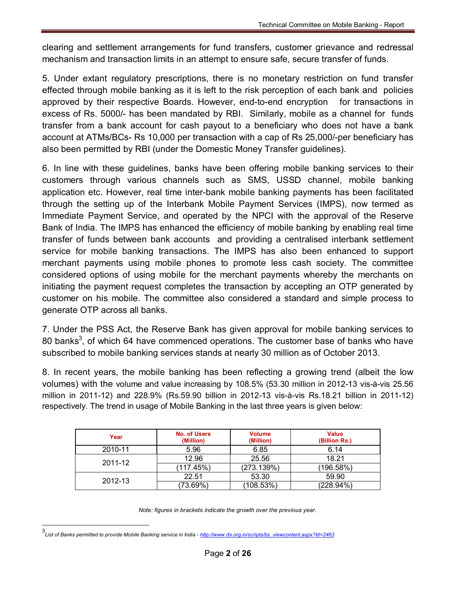clearing and settlement arrangements for fund transfers, customer grievance and redressal mechanism and transaction limits in an attempt to ensure safe, secure transfer of funds.

5. Under extant regulatory prescriptions, there is no monetary restriction on fund transfer effected through mobile banking as it is left to the risk perception of each bank and policies approved by their respective Boards. However, end-to-end encryption for transactions in excess of Rs. 5000/- has been mandated by RBI. Similarly, mobile as a channel for funds transfer from a bank account for cash payout to a beneficiary who does not have a bank account at ATMs/BCs- Rs 10,000 per transaction with a cap of Rs 25,000/-per beneficiary has also been permitted by RBI (under the Domestic Money Transfer guidelines).

6. In line with these guidelines, banks have been offering mobile banking services to their customers through various channels such as SMS, USSD channel, mobile banking application etc. However, real time inter-bank mobile banking payments has been facilitated through the setting up of the Interbank Mobile Payment Services (IMPS), now termed as Immediate Payment Service, and operated by the NPCI with the approval of the Reserve Bank of India. The IMPS has enhanced the efficiency of mobile banking by enabling real time transfer of funds between bank accounts and providing a centralised interbank settlement service for mobile banking transactions. The IMPS has also been enhanced to support merchant payments using mobile phones to promote less cash society. The committee considered options of using mobile for the merchant payments whereby the merchants on initiating the payment request completes the transaction by accepting an OTP generated by customer on his mobile. The committee also considered a standard and simple process to generate OTP across all banks.

7. Under the PSS Act, the Reserve Bank has given approval for mobile banking services to 80 banks<sup>3</sup>[,](#page-12-0) of which 64 have commenced operations. The customer base of banks who have subscribed to mobile banking services stands at nearly 30 million as of October 2013.

8. In recent years, the mobile banking has been reflecting a growing trend (albeit the low volumes) with the volume and value increasing by 108.5% (53.30 million in 2012-13 vis-à-vis 25.56 million in 2011-12) and 228.9% (Rs.59.90 billion in 2012-13 vis-à-vis Rs.18.21 billion in 2011-12) respectively. The trend in usage of Mobile Banking in the last three years is given below:

| Year    | No. of Users<br>(Million) | <b>Volume</b><br>(Million) | <b>Value</b><br>(Billion Rs.) |
|---------|---------------------------|----------------------------|-------------------------------|
| 2010-11 | 5.96                      | 6.85                       | 6.14                          |
| 2011-12 | 12.96                     | 25.56                      | 18.21                         |
|         | (117.45%)                 | (273.139%)                 | (196.58%)                     |
| 2012-13 | 22.51                     | 53.30                      | 59.90                         |
|         | (73.69%)                  | (108.53%)                  | (228.94%)                     |

*Note: figures in brackets indicate the growth over the previous year.*

<span id="page-12-0"></span><sup>3</sup> *List of Banks permitted to provide Mobile Banking service in India - http://www.rbi.org.in/scripts/bs\_viewcontent.aspx?Id=2463*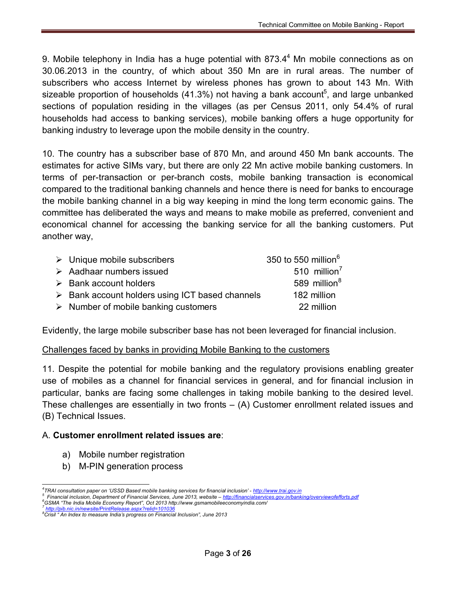9. [M](#page-13-0)obile telephony in India has a huge potential with 873.4 $4$  Mn mobile connections as on 30.06.2013 in the country, of which about 350 Mn are in rural areas. The number of subscribers who access Internet by wireless phones has grown to about 143 Mn. With sizeable proportion of households (41.3%) not having a bank account<sup>5</sup>[,](#page-13-1) and large unbanked sections of population residing in the villages (as per Census 2011, only 54.4% of rural households had access to banking services), mobile banking offers a huge opportunity for banking industry to leverage upon the mobile density in the country.

10. The country has a subscriber base of 870 Mn, and around 450 Mn bank accounts. The estimates for active SIMs vary, but there are only 22 Mn active mobile banking customers. In terms of per-transaction or per-branch costs, mobile banking transaction is economical compared to the traditional banking channels and hence there is need for banks to encourage the mobile banking channel in a big way keeping in mind the long term economic gains. The committee has deliberated the ways and means to make mobile as preferred, convenient and economical channel for accessing the banking service for all the banking customers. Put another way,

| $\triangleright$ Unique mobile subscribers                     | 350 to 550 million <sup>6</sup> |
|----------------------------------------------------------------|---------------------------------|
| $\triangleright$ Aadhaar numbers issued                        | 510 million $7$                 |
| $\triangleright$ Bank account holders                          | 589 million <sup>8</sup>        |
| $\triangleright$ Bank account holders using ICT based channels | 182 million                     |
| $\triangleright$ Number of mobile banking customers            | 22 million                      |

Evidently, the large mobile subscriber base has not been leveraged for financial inclusion.

### Challenges faced by banks in providing Mobile Banking to the customers

11. Despite the potential for mobile banking and the regulatory provisions enabling greater use of mobiles as a channel for financial services in general, and for financial inclusion in particular, banks are facing some challenges in taking mobile banking to the desired level. These challenges are essentially in two fronts – (A) Customer enrollment related issues and (B) Technical Issues.

### A. **Customer enrollment related issues are**:

- a) Mobile number registration
- b) M-PIN generation process

<span id="page-13-0"></span>*<sup>4</sup> TRAI consultation paper on 'USSD Based mobile banking services for financial inclusion' - [http://www.trai.gov.in](http://www.trai.gov.in/)*

<span id="page-13-1"></span>*<sup>5</sup> Financial inclusion, Department of Financial Services, June 2013, website – <http://financialservices.gov.in/banking/overviewofefforts.pdf> <sup>6</sup>GSMA "The India Mobile Economy Report", Oct 2013<http://www.gsmamobileeconomyindia.com/> 7 <http://pib.nic.in/newsite/PrintRelease.aspx?relid=101036>*

*<sup>8</sup>Crisil " An Index to measure India's progress on Financial Inclusion", June 2013*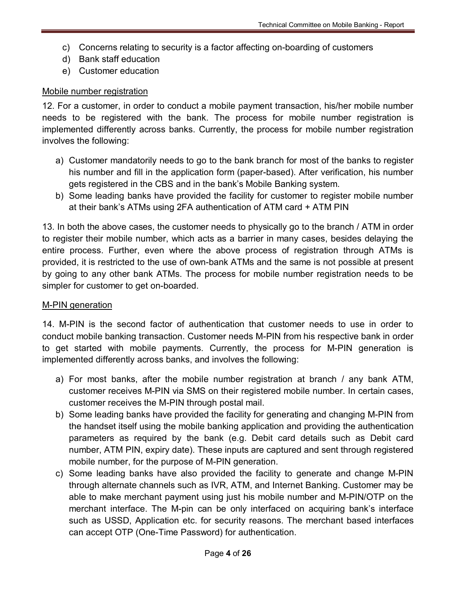- c) Concerns relating to security is a factor affecting on-boarding of customers
- d) Bank staff education
- e) Customer education

### Mobile number registration

12. For a customer, in order to conduct a mobile payment transaction, his/her mobile number needs to be registered with the bank. The process for mobile number registration is implemented differently across banks. Currently, the process for mobile number registration involves the following:

- a) Customer mandatorily needs to go to the bank branch for most of the banks to register his number and fill in the application form (paper-based). After verification, his number gets registered in the CBS and in the bank's Mobile Banking system.
- b) Some leading banks have provided the facility for customer to register mobile number at their bank's ATMs using 2FA authentication of ATM card + ATM PIN

13. In both the above cases, the customer needs to physically go to the branch / ATM in order to register their mobile number, which acts as a barrier in many cases, besides delaying the entire process. Further, even where the above process of registration through ATMs is provided, it is restricted to the use of own-bank ATMs and the same is not possible at present by going to any other bank ATMs. The process for mobile number registration needs to be simpler for customer to get on-boarded.

### M-PIN generation

14. M-PIN is the second factor of authentication that customer needs to use in order to conduct mobile banking transaction. Customer needs M-PIN from his respective bank in order to get started with mobile payments. Currently, the process for M-PIN generation is implemented differently across banks, and involves the following:

- a) For most banks, after the mobile number registration at branch / any bank ATM, customer receives M-PIN via SMS on their registered mobile number. In certain cases, customer receives the M-PIN through postal mail.
- b) Some leading banks have provided the facility for generating and changing M-PIN from the handset itself using the mobile banking application and providing the authentication parameters as required by the bank (e.g. Debit card details such as Debit card number, ATM PIN, expiry date). These inputs are captured and sent through registered mobile number, for the purpose of M-PIN generation.
- c) Some leading banks have also provided the facility to generate and change M-PIN through alternate channels such as IVR, ATM, and Internet Banking. Customer may be able to make merchant payment using just his mobile number and M-PIN/OTP on the merchant interface. The M-pin can be only interfaced on acquiring bank's interface such as USSD, Application etc. for security reasons. The merchant based interfaces can accept OTP (One-Time Password) for authentication.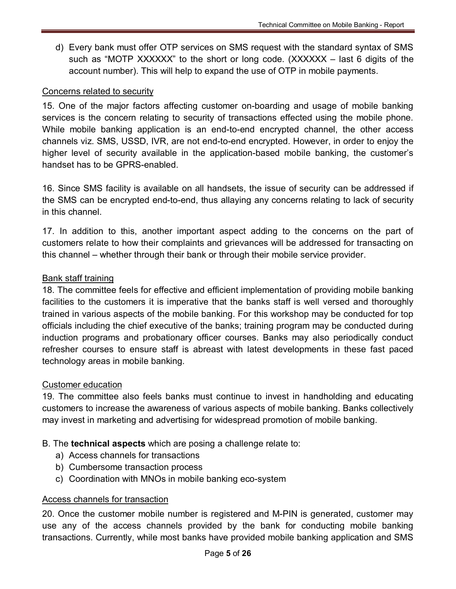d) Every bank must offer OTP services on SMS request with the standard syntax of SMS such as "MOTP XXXXXX" to the short or long code. (XXXXXX – last 6 digits of the account number). This will help to expand the use of OTP in mobile payments.

### Concerns related to security

15. One of the major factors affecting customer on-boarding and usage of mobile banking services is the concern relating to security of transactions effected using the mobile phone. While mobile banking application is an end-to-end encrypted channel, the other access channels viz. SMS, USSD, IVR, are not end-to-end encrypted. However, in order to enjoy the higher level of security available in the application-based mobile banking, the customer's handset has to be GPRS-enabled.

16. Since SMS facility is available on all handsets, the issue of security can be addressed if the SMS can be encrypted end-to-end, thus allaying any concerns relating to lack of security in this channel.

17. In addition to this, another important aspect adding to the concerns on the part of customers relate to how their complaints and grievances will be addressed for transacting on this channel – whether through their bank or through their mobile service provider.

### Bank staff training

18. The committee feels for effective and efficient implementation of providing mobile banking facilities to the customers it is imperative that the banks staff is well versed and thoroughly trained in various aspects of the mobile banking. For this workshop may be conducted for top officials including the chief executive of the banks; training program may be conducted during induction programs and probationary officer courses. Banks may also periodically conduct refresher courses to ensure staff is abreast with latest developments in these fast paced technology areas in mobile banking.

### Customer education

19. The committee also feels banks must continue to invest in handholding and educating customers to increase the awareness of various aspects of mobile banking. Banks collectively may invest in marketing and advertising for widespread promotion of mobile banking.

### B. The **technical aspects** which are posing a challenge relate to:

- a) Access channels for transactions
- b) Cumbersome transaction process
- c) Coordination with MNOs in mobile banking eco-system

### Access channels for transaction

20. Once the customer mobile number is registered and M-PIN is generated, customer may use any of the access channels provided by the bank for conducting mobile banking transactions. Currently, while most banks have provided mobile banking application and SMS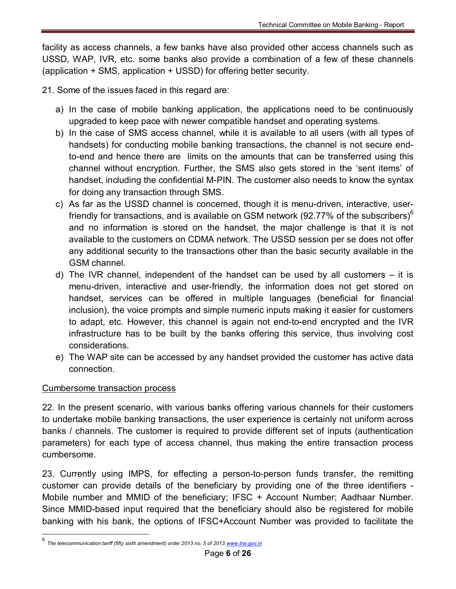facility as access channels, a few banks have also provided other access channels such as USSD, WAP, IVR, etc. some banks also provide a combination of a few of these channels (application + SMS, application + USSD) for offering better security.

- 21. Some of the issues faced in this regard are:
	- a) In the case of mobile banking application, the applications need to be continuously upgraded to keep pace with newer compatible handset and operating systems.
	- b) In the case of SMS access channel, while it is available to all users (with all types of handsets) for conducting mobile banking transactions, the channel is not secure endto-end and hence there are limits on the amounts that can be transferred using this channel without encryption. Further, the SMS also gets stored in the 'sent items' of handset, including the confidential M-PIN. The customer also needs to know the syntax for doing any transaction through SMS.
	- c) As far as the USSD channel is concerned, though it is menu-driven, interactive, userfriendly for transactions, and is available on GSM network (92.77% of the subscribers) $^6$  $^6$ and no information is stored on the handset, the major challenge is that it is not available to the customers on CDMA network. The USSD session per se does not offer any additional security to the transactions other than the basic security available in the GSM channel.
	- d) The IVR channel, independent of the handset can be used by all customers it is menu-driven, interactive and user-friendly, the information does not get stored on handset, services can be offered in multiple languages (beneficial for financial inclusion), the voice prompts and simple numeric inputs making it easier for customers to adapt, etc. However, this channel is again not end-to-end encrypted and the IVR infrastructure has to be built by the banks offering this service, thus involving cost considerations.
	- e) The WAP site can be accessed by any handset provided the customer has active data connection.

### Cumbersome transaction process

22. In the present scenario, with various banks offering various channels for their customers to undertake mobile banking transactions, the user experience is certainly not uniform across banks / channels. The customer is required to provide different set of inputs (authentication parameters) for each type of access channel, thus making the entire transaction process cumbersome.

23. Currently using IMPS, for effecting a person-to-person funds transfer, the remitting customer can provide details of the beneficiary by providing one of the three identifiers - Mobile number and MMID of the beneficiary; IFSC + Account Number; Aadhaar Number. Since MMID-based input required that the beneficiary should also be registered for mobile banking with his bank, the options of IFSC+Account Number was provided to facilitate the

<span id="page-16-0"></span><sup>6</sup> *The telecommunication tariff (fifty sixth amendment) order 2013 no. 5 of 2013 www.trai.gov.in*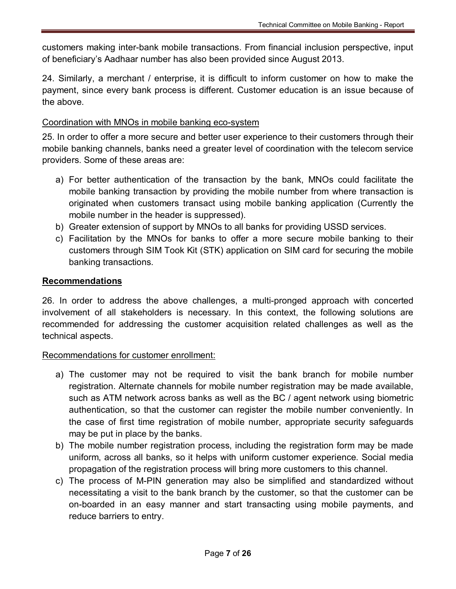customers making inter-bank mobile transactions. From financial inclusion perspective, input of beneficiary's Aadhaar number has also been provided since August 2013.

24. Similarly, a merchant / enterprise, it is difficult to inform customer on how to make the payment, since every bank process is different. Customer education is an issue because of the above.

### Coordination with MNOs in mobile banking eco-system

25. In order to offer a more secure and better user experience to their customers through their mobile banking channels, banks need a greater level of coordination with the telecom service providers. Some of these areas are:

- a) For better authentication of the transaction by the bank, MNOs could facilitate the mobile banking transaction by providing the mobile number from where transaction is originated when customers transact using mobile banking application (Currently the mobile number in the header is suppressed).
- b) Greater extension of support by MNOs to all banks for providing USSD services.
- c) Facilitation by the MNOs for banks to offer a more secure mobile banking to their customers through SIM Took Kit (STK) application on SIM card for securing the mobile banking transactions.

### **Recommendations**

26. In order to address the above challenges, a multi-pronged approach with concerted involvement of all stakeholders is necessary. In this context, the following solutions are recommended for addressing the customer acquisition related challenges as well as the technical aspects.

### Recommendations for customer enrollment:

- a) The customer may not be required to visit the bank branch for mobile number registration. Alternate channels for mobile number registration may be made available, such as ATM network across banks as well as the BC / agent network using biometric authentication, so that the customer can register the mobile number conveniently. In the case of first time registration of mobile number, appropriate security safeguards may be put in place by the banks.
- b) The mobile number registration process, including the registration form may be made uniform, across all banks, so it helps with uniform customer experience. Social media propagation of the registration process will bring more customers to this channel.
- c) The process of M-PIN generation may also be simplified and standardized without necessitating a visit to the bank branch by the customer, so that the customer can be on-boarded in an easy manner and start transacting using mobile payments, and reduce barriers to entry.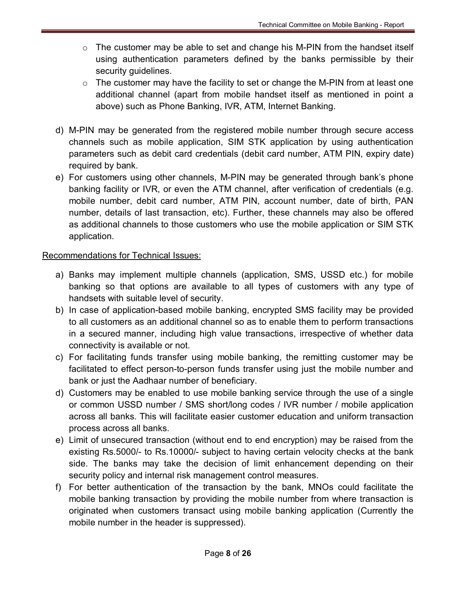- $\circ$  The customer may be able to set and change his M-PIN from the handset itself using authentication parameters defined by the banks permissible by their security guidelines.
- $\circ$  The customer may have the facility to set or change the M-PIN from at least one additional channel (apart from mobile handset itself as mentioned in point a above) such as Phone Banking, IVR, ATM, Internet Banking.
- d) M-PIN may be generated from the registered mobile number through secure access channels such as mobile application, SIM STK application by using authentication parameters such as debit card credentials (debit card number, ATM PIN, expiry date) required by bank.
- e) For customers using other channels, M-PIN may be generated through bank's phone banking facility or IVR, or even the ATM channel, after verification of credentials (e.g. mobile number, debit card number, ATM PIN, account number, date of birth, PAN number, details of last transaction, etc). Further, these channels may also be offered as additional channels to those customers who use the mobile application or SIM STK application.

### Recommendations for Technical Issues:

- a) Banks may implement multiple channels (application, SMS, USSD etc.) for mobile banking so that options are available to all types of customers with any type of handsets with suitable level of security.
- b) In case of application-based mobile banking, encrypted SMS facility may be provided to all customers as an additional channel so as to enable them to perform transactions in a secured manner, including high value transactions, irrespective of whether data connectivity is available or not.
- c) For facilitating funds transfer using mobile banking, the remitting customer may be facilitated to effect person-to-person funds transfer using just the mobile number and bank or just the Aadhaar number of beneficiary.
- d) Customers may be enabled to use mobile banking service through the use of a single or common USSD number / SMS short/long codes / IVR number / mobile application across all banks. This will facilitate easier customer education and uniform transaction process across all banks.
- e) Limit of unsecured transaction (without end to end encryption) may be raised from the existing Rs.5000/- to Rs.10000/- subject to having certain velocity checks at the bank side. The banks may take the decision of limit enhancement depending on their security policy and internal risk management control measures.
- f) For better authentication of the transaction by the bank, MNOs could facilitate the mobile banking transaction by providing the mobile number from where transaction is originated when customers transact using mobile banking application (Currently the mobile number in the header is suppressed).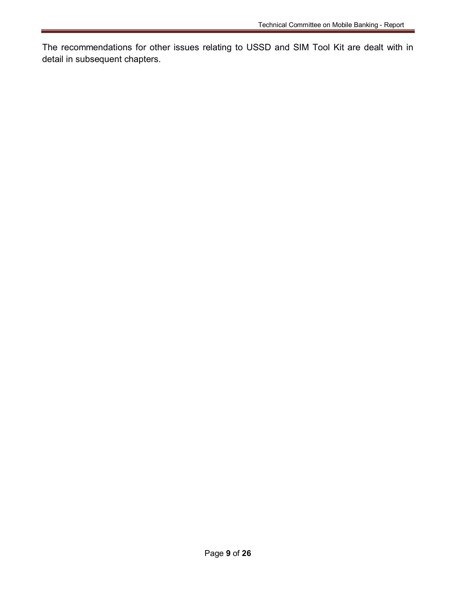The recommendations for other issues relating to USSD and SIM Tool Kit are dealt with in detail in subsequent chapters.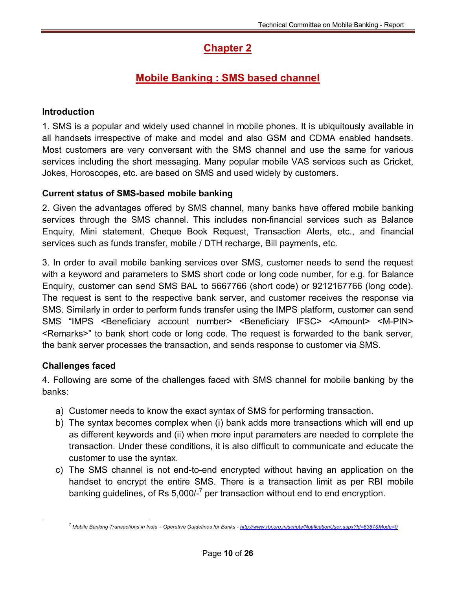# **Chapter 2**

# **Mobile Banking : SMS based channel**

### **Introduction**

1. SMS is a popular and widely used channel in mobile phones. It is ubiquitously available in all handsets irrespective of make and model and also GSM and CDMA enabled handsets. Most customers are very conversant with the SMS channel and use the same for various services including the short messaging. Many popular mobile VAS services such as Cricket, Jokes, Horoscopes, etc. are based on SMS and used widely by customers.

### **Current status of SMS-based mobile banking**

2. Given the advantages offered by SMS channel, many banks have offered mobile banking services through the SMS channel. This includes non-financial services such as Balance Enquiry, Mini statement, Cheque Book Request, Transaction Alerts, etc., and financial services such as funds transfer, mobile / DTH recharge, Bill payments, etc.

3. In order to avail mobile banking services over SMS, customer needs to send the request with a keyword and parameters to SMS short code or long code number, for e.g. for Balance Enquiry, customer can send SMS BAL to 5667766 (short code) or 9212167766 (long code). The request is sent to the respective bank server, and customer receives the response via SMS. Similarly in order to perform funds transfer using the IMPS platform, customer can send SMS "IMPS <Beneficiary account number> <Beneficiary IFSC> <Amount> <M-PIN> <Remarks>" to bank short code or long code. The request is forwarded to the bank server, the bank server processes the transaction, and sends response to customer via SMS.

### **Challenges faced**

4. Following are some of the challenges faced with SMS channel for mobile banking by the banks:

- a) Customer needs to know the exact syntax of SMS for performing transaction.
- b) The syntax becomes complex when (i) bank adds more transactions which will end up as different keywords and (ii) when more input parameters are needed to complete the transaction. Under these conditions, it is also difficult to communicate and educate the customer to use the syntax.
- c) The SMS channel is not end-to-end encrypted without having an application on the handset to encrypt the entire SMS. There is a transaction limit as per RBI mobile banking guidelines, of Rs 5,000/-<sup>7</sup> per transaction without end to end encryption.

*<sup>7</sup> Mobile Banking Transactions in India – Operative Guidelines for Banks - <http://www.rbi.org.in/scripts/NotificationUser.aspx?Id=6387&Mode=0>*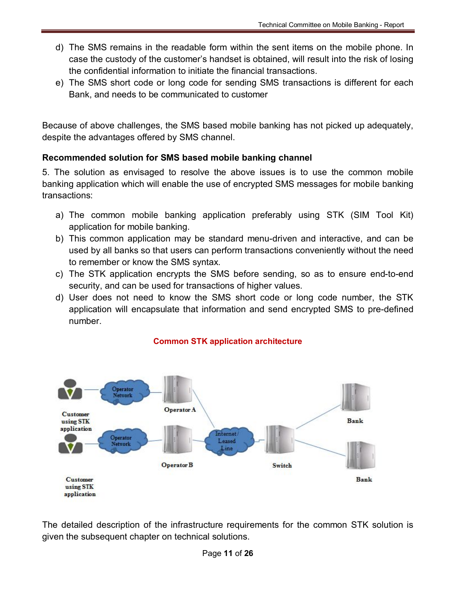- d) The SMS remains in the readable form within the sent items on the mobile phone. In case the custody of the customer's handset is obtained, will result into the risk of losing the confidential information to initiate the financial transactions.
- e) The SMS short code or long code for sending SMS transactions is different for each Bank, and needs to be communicated to customer

Because of above challenges, the SMS based mobile banking has not picked up adequately, despite the advantages offered by SMS channel.

### **Recommended solution for SMS based mobile banking channel**

5. The solution as envisaged to resolve the above issues is to use the common mobile banking application which will enable the use of encrypted SMS messages for mobile banking transactions:

- a) The common mobile banking application preferably using STK (SIM Tool Kit) application for mobile banking.
- b) This common application may be standard menu-driven and interactive, and can be used by all banks so that users can perform transactions conveniently without the need to remember or know the SMS syntax.
- c) The STK application encrypts the SMS before sending, so as to ensure end-to-end security, and can be used for transactions of higher values.
- d) User does not need to know the SMS short code or long code number, the STK application will encapsulate that information and send encrypted SMS to pre-defined number.



### **Common STK application architecture**

The detailed description of the infrastructure requirements for the common STK solution is given the subsequent chapter on technical solutions.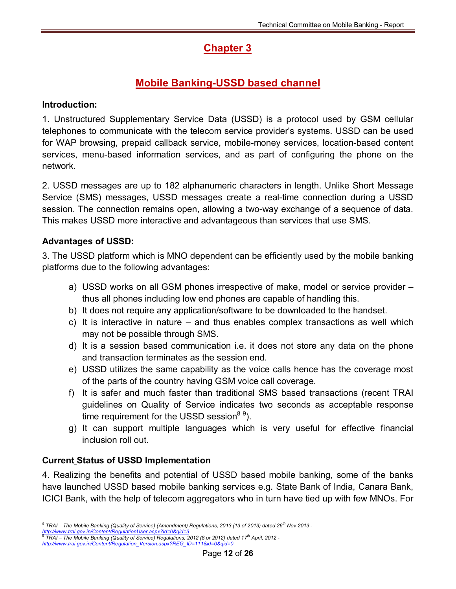# **Chapter 3**

# **Mobile Banking-USSD based channel**

### **Introduction:**

1. Unstructured Supplementary Service Data (USSD) is a protocol used by [GSM](http://en.wikipedia.org/wiki/GSM) cellular telephones to communicate with the telecom service provider's systems. USSD can be used for [WAP](http://en.wikipedia.org/wiki/Wireless_Application_Protocol) browsing, prepaid callback service, mobile-money services, location-based content services, menu-based information services, and as part of configuring the phone on the network.

2. USSD messages are up to 182 alphanumeric characters in length. Unlike [Short Message](http://en.wikipedia.org/wiki/SMS) Service (SMS) messages, USSD messages create a real-time connection during a USSD session. The connection remains open, allowing a two-way exchange of a sequence of data. This makes USSD more interactive and advantageous than services that use SMS.

### **Advantages of USSD:**

3. The USSD platform which is MNO dependent can be efficiently used by the mobile banking platforms due to the following advantages:

- a) USSD works on all GSM phones irrespective of make, model or service provider thus all phones including low end phones are capable of handling this.
- b) It does not require any application/software to be downloaded to the handset.
- c) It is interactive in nature and thus enables complex transactions as well which may not be possible through SMS.
- d) It is a session based communication i.e. it does not store any data on the phone and transaction terminates as the session end.
- e) USSD utilizes the same capability as the voice calls hence has the coverage most of the parts of the country having GSM voice call coverage.
- f) It is safer and much faster than traditional SMS based transactions (recent TRAI guidelines on Quality of Service indicates two seconds as acceptable response time requirement for the USSD session<sup>8 [9](#page-22-0)</sup>[\).](#page-22-1)
- g) It can support multiple languages which is very useful for effective financial inclusion roll out.

### **Current Status of USSD Implementation**

4. Realizing the benefits and potential of USSD based mobile banking, some of the banks have launched USSD based mobile banking services e.g. State Bank of India, Canara Bank, ICICI Bank, with the help of telecom aggregators who in turn have tied up with few MNOs. For

<span id="page-22-0"></span>*<sup>8</sup> TRAI – The Mobile Banking (Quality of Service) (Amendment) Regulations, 2013 (13 of 2013) dated 26th Nov 2013 <http://www.trai.gov.in/Content/RegulationUser.aspx?id=0&qid=3>* 9

<span id="page-22-1"></span>*TRAI – The Mobile Banking (Quality of Service) Regulations, 2012 (8 or 2012) dated 17th April, 2012 http://www.trai.gov.in/Content/Regulation\_Version.aspx?REG\_ID=111&id=0&qid=0*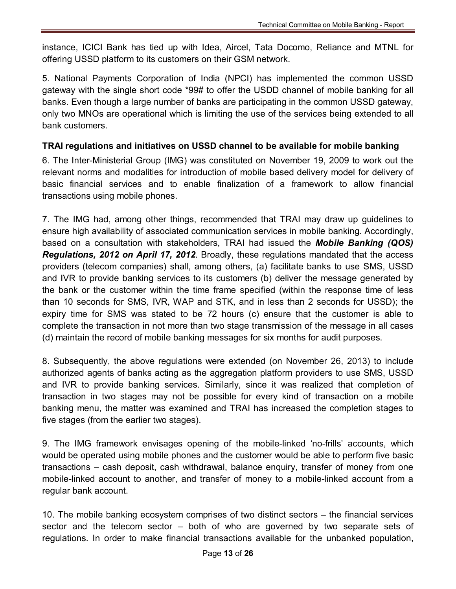instance, ICICI Bank has tied up with Idea, Aircel, Tata Docomo, Reliance and MTNL for offering USSD platform to its customers on their GSM network.

5. National Payments Corporation of India (NPCI) has implemented the common USSD gateway with the single short code \*99# to offer the USDD channel of mobile banking for all banks. Even though a large number of banks are participating in the common USSD gateway, only two MNOs are operational which is limiting the use of the services being extended to all bank customers.

### **TRAI regulations and initiatives on USSD channel to be available for mobile banking**

6. The Inter-Ministerial Group (IMG) was constituted on November 19, 2009 to work out the relevant norms and modalities for introduction of mobile based delivery model for delivery of basic financial services and to enable finalization of a framework to allow financial transactions using mobile phones.

7. The IMG had, among other things, recommended that TRAI may draw up guidelines to ensure high availability of associated communication services in mobile banking. Accordingly, based on a consultation with stakeholders, TRAI had issued the *Mobile Banking (QOS) Regulations, 2012 on April 17, 2012*. Broadly, these regulations mandated that the access providers (telecom companies) shall, among others, (a) facilitate banks to use SMS, USSD and IVR to provide banking services to its customers (b) deliver the message generated by the bank or the customer within the time frame specified (within the response time of less than 10 seconds for SMS, IVR, WAP and STK, and in less than 2 seconds for USSD); the expiry time for SMS was stated to be 72 hours (c) ensure that the customer is able to complete the transaction in not more than two stage transmission of the message in all cases (d) maintain the record of mobile banking messages for six months for audit purposes.

8. Subsequently, the above regulations were extended (on November 26, 2013) to include authorized agents of banks acting as the aggregation platform providers to use SMS, USSD and IVR to provide banking services. Similarly, since it was realized that completion of transaction in two stages may not be possible for every kind of transaction on a mobile banking menu, the matter was examined and TRAI has increased the completion stages to five stages (from the earlier two stages).

9. The IMG framework envisages opening of the mobile-linked 'no-frills' accounts, which would be operated using mobile phones and the customer would be able to perform five basic transactions – cash deposit, cash withdrawal, balance enquiry, transfer of money from one mobile-linked account to another, and transfer of money to a mobile-linked account from a regular bank account.

10. The mobile banking ecosystem comprises of two distinct sectors – the financial services sector and the telecom sector – both of who are governed by two separate sets of regulations. In order to make financial transactions available for the unbanked population,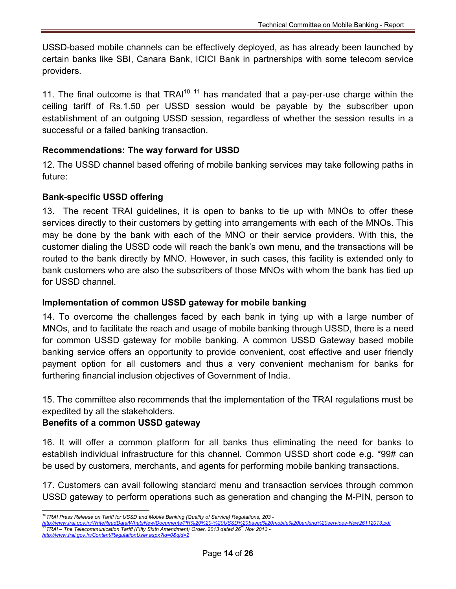USSD-based mobile channels can be effectively deployed, as has already been launched by certain banks like SBI, Canara Bank, ICICI Bank in partnerships with some telecom service providers.

[11](#page-24-1). The final outcome is that  $TRAl<sup>10-11</sup>$  $TRAl<sup>10-11</sup>$  $TRAl<sup>10-11</sup>$  has mandated that a pay-per-use charge within the ceiling tariff of Rs.1.50 per USSD session would be payable by the subscriber upon establishment of an outgoing USSD session, regardless of whether the session results in a successful or a failed banking transaction.

### **Recommendations: The way forward for USSD**

12. The USSD channel based offering of mobile banking services may take following paths in future:

### **Bank-specific USSD offering**

13. The recent TRAI guidelines, it is open to banks to tie up with MNOs to offer these services directly to their customers by getting into arrangements with each of the MNOs. This may be done by the bank with each of the MNO or their service providers. With this, the customer dialing the USSD code will reach the bank's own menu, and the transactions will be routed to the bank directly by MNO. However, in such cases, this facility is extended only to bank customers who are also the subscribers of those MNOs with whom the bank has tied up for USSD channel.

### **Implementation of common USSD gateway for mobile banking**

14. To overcome the challenges faced by each bank in tying up with a large number of MNOs, and to facilitate the reach and usage of mobile banking through USSD, there is a need for common USSD gateway for mobile banking. A common USSD Gateway based mobile banking service offers an opportunity to provide convenient, cost effective and user friendly payment option for all customers and thus a very convenient mechanism for banks for furthering financial inclusion objectives of Government of India.

15. The committee also recommends that the implementation of the TRAI regulations must be expedited by all the stakeholders.

### **Benefits of a common USSD gateway**

16. It will offer a common platform for all banks thus eliminating the need for banks to establish individual infrastructure for this channel. Common USSD short code e.g. \*99# can be used by customers, merchants, and agents for performing mobile banking transactions.

17. Customers can avail following standard menu and transaction services through common USSD gateway to perform operations such as generation and changing the M-PIN, person to

<span id="page-24-1"></span>

<span id="page-24-0"></span><sup>&</sup>lt;sup>10</sup>TRAI Press Release on Tariff for USSD and Mobile Banking (Quality of Service) Regulations, 203 -<br>http://www.trai.gov.in/WriteReadData/WhatsNew/Documents/PR%20%20-%20USSD%20based%20mobile%20banking%20services-New2611201 <u><http://www.trai.gov.in/WriteReadData/WhatsNew/Documents/PR%20%20-%20USSD%20based%20mobile%20banking%20services-New26112013.pdf></u><br><sup>11</sup>TRAI – The Telecommunication Tariff (Fifty Sixth Amendment) Order, 2013 dated 26<sup>th</sup> Nov *<http://www.trai.gov.in/Content/RegulationUser.aspx?id=0&qid=2>*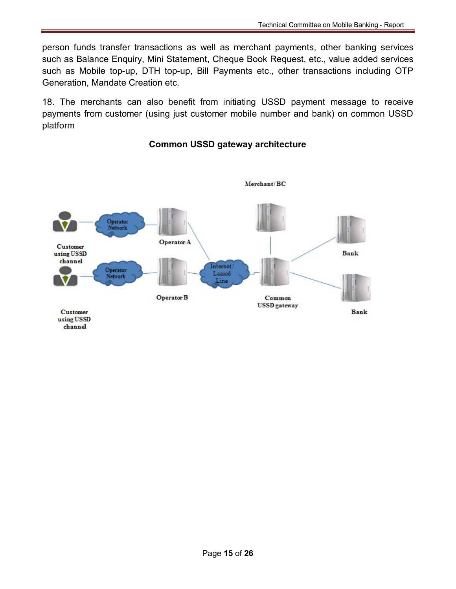person funds transfer transactions as well as merchant payments, other banking services such as Balance Enquiry, Mini Statement, Cheque Book Request, etc., value added services such as Mobile top-up, DTH top-up, Bill Payments etc., other transactions including OTP Generation, Mandate Creation etc.

18. The merchants can also benefit from initiating USSD payment message to receive payments from customer (using just customer mobile number and bank) on common USSD platform

#### Merchant/BC Operator Network Operator A **Customer** using USSD **Bank** channel Internet/ Operator Leased **Network** Line **Operator B** Common **USSD** gateway **Customer Bank** using USSD channel

### **Common USSD gateway architecture**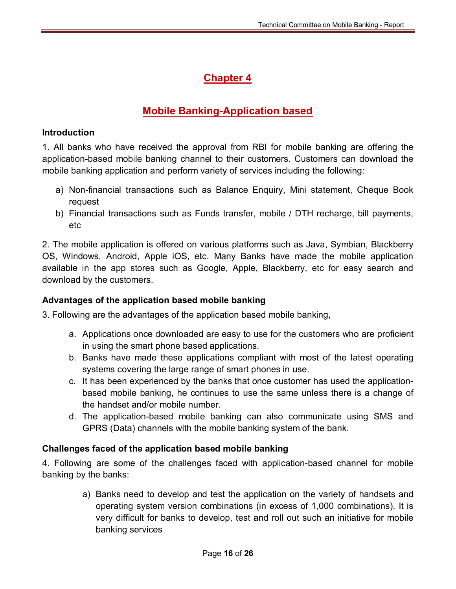# **Chapter 4**

# **Mobile Banking-Application based**

### **Introduction**

1. All banks who have received the approval from RBI for mobile banking are offering the application-based mobile banking channel to their customers. Customers can download the mobile banking application and perform variety of services including the following:

- a) Non-financial transactions such as Balance Enquiry, Mini statement, Cheque Book request
- b) Financial transactions such as Funds transfer, mobile / DTH recharge, bill payments, etc

2. The mobile application is offered on various platforms such as Java, Symbian, Blackberry OS, Windows, Android, Apple iOS, etc. Many Banks have made the mobile application available in the app stores such as Google, Apple, Blackberry, etc for easy search and download by the customers.

### **Advantages of the application based mobile banking**

3. Following are the advantages of the application based mobile banking,

- a. Applications once downloaded are easy to use for the customers who are proficient in using the smart phone based applications.
- b. Banks have made these applications compliant with most of the latest operating systems covering the large range of smart phones in use.
- c. It has been experienced by the banks that once customer has used the applicationbased mobile banking, he continues to use the same unless there is a change of the handset and/or mobile number.
- d. The application-based mobile banking can also communicate using SMS and GPRS (Data) channels with the mobile banking system of the bank.

### **Challenges faced of the application based mobile banking**

4. Following are some of the challenges faced with application-based channel for mobile banking by the banks:

> a) Banks need to develop and test the application on the variety of handsets and operating system version combinations (in excess of 1,000 combinations). It is very difficult for banks to develop, test and roll out such an initiative for mobile banking services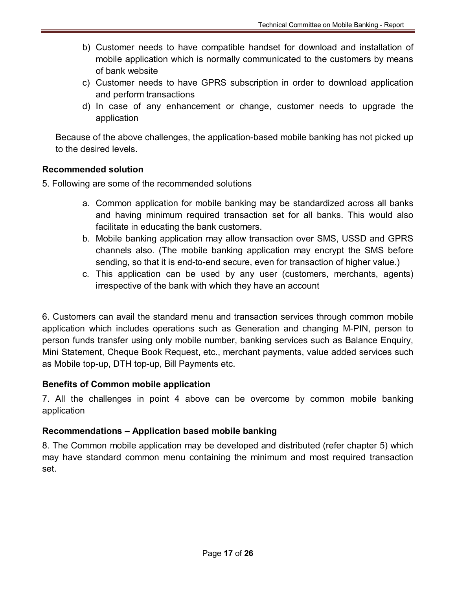- b) Customer needs to have compatible handset for download and installation of mobile application which is normally communicated to the customers by means of bank website
- c) Customer needs to have GPRS subscription in order to download application and perform transactions
- d) In case of any enhancement or change, customer needs to upgrade the application

Because of the above challenges, the application-based mobile banking has not picked up to the desired levels.

### **Recommended solution**

- 5. Following are some of the recommended solutions
	- a. Common application for mobile banking may be standardized across all banks and having minimum required transaction set for all banks. This would also facilitate in educating the bank customers.
	- b. Mobile banking application may allow transaction over SMS, USSD and GPRS channels also. (The mobile banking application may encrypt the SMS before sending, so that it is end-to-end secure, even for transaction of higher value.)
	- c. This application can be used by any user (customers, merchants, agents) irrespective of the bank with which they have an account

6. Customers can avail the standard menu and transaction services through common mobile application which includes operations such as Generation and changing M-PIN, person to person funds transfer using only mobile number, banking services such as Balance Enquiry, Mini Statement, Cheque Book Request, etc., merchant payments, value added services such as Mobile top-up, DTH top-up, Bill Payments etc.

### **Benefits of Common mobile application**

7. All the challenges in point 4 above can be overcome by common mobile banking application

### **Recommendations – Application based mobile banking**

8. The Common mobile application may be developed and distributed (refer chapter 5) which may have standard common menu containing the minimum and most required transaction set.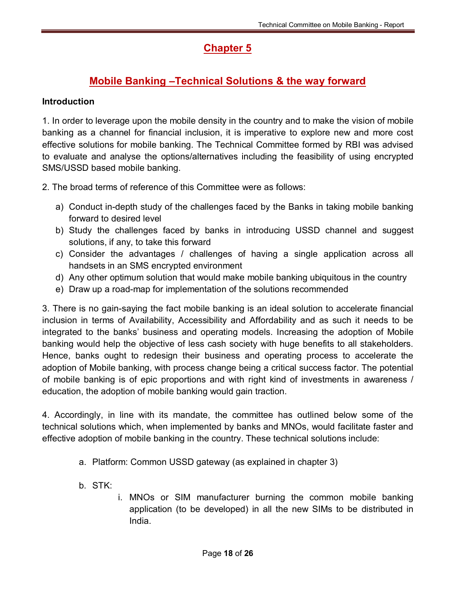# **Chapter 5**

# **Mobile Banking –Technical Solutions & the way forward**

### **Introduction**

1. In order to leverage upon the mobile density in the country and to make the vision of mobile banking as a channel for financial inclusion, it is imperative to explore new and more cost effective solutions for mobile banking. The Technical Committee formed by RBI was advised to evaluate and analyse the options/alternatives including the feasibility of using encrypted SMS/USSD based mobile banking.

2. The broad terms of reference of this Committee were as follows:

- a) Conduct in-depth study of the challenges faced by the Banks in taking mobile banking forward to desired level
- b) Study the challenges faced by banks in introducing USSD channel and suggest solutions, if any, to take this forward
- c) Consider the advantages / challenges of having a single application across all handsets in an SMS encrypted environment
- d) Any other optimum solution that would make mobile banking ubiquitous in the country
- e) Draw up a road-map for implementation of the solutions recommended

3. There is no gain-saying the fact mobile banking is an ideal solution to accelerate financial inclusion in terms of Availability, Accessibility and Affordability and as such it needs to be integrated to the banks' business and operating models. Increasing the adoption of Mobile banking would help the objective of less cash society with huge benefits to all stakeholders. Hence, banks ought to redesign their business and operating process to accelerate the adoption of Mobile banking, with process change being a critical success factor. The potential of mobile banking is of epic proportions and with right kind of investments in awareness / education, the adoption of mobile banking would gain traction.

4. Accordingly, in line with its mandate, the committee has outlined below some of the technical solutions which, when implemented by banks and MNOs, would facilitate faster and effective adoption of mobile banking in the country. These technical solutions include:

- a. Platform: Common USSD gateway (as explained in chapter 3)
- b. STK:
- i. MNOs or SIM manufacturer burning the common mobile banking application (to be developed) in all the new SIMs to be distributed in India.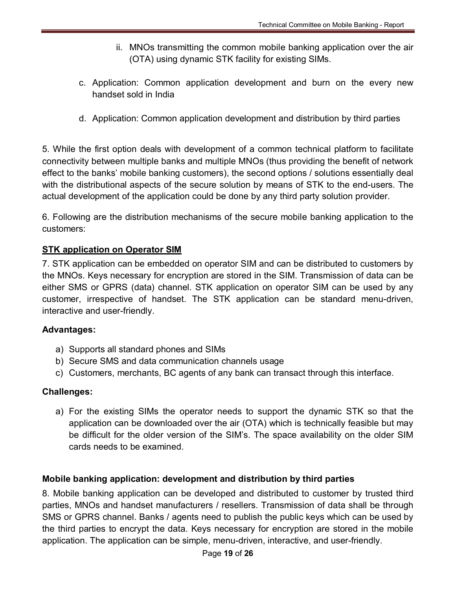- ii. MNOs transmitting the common mobile banking application over the air (OTA) using dynamic STK facility for existing SIMs.
- c. Application: Common application development and burn on the every new handset sold in India
- d. Application: Common application development and distribution by third parties

5. While the first option deals with development of a common technical platform to facilitate connectivity between multiple banks and multiple MNOs (thus providing the benefit of network effect to the banks' mobile banking customers), the second options / solutions essentially deal with the distributional aspects of the secure solution by means of STK to the end-users. The actual development of the application could be done by any third party solution provider.

6. Following are the distribution mechanisms of the secure mobile banking application to the customers:

### **STK application on Operator SIM**

7. STK application can be embedded on operator SIM and can be distributed to customers by the MNOs. Keys necessary for encryption are stored in the SIM. Transmission of data can be either SMS or GPRS (data) channel. STK application on operator SIM can be used by any customer, irrespective of handset. The STK application can be standard menu-driven, interactive and user-friendly.

### **Advantages:**

- a) Supports all standard phones and SIMs
- b) Secure SMS and data communication channels usage
- c) Customers, merchants, BC agents of any bank can transact through this interface.

### **Challenges:**

a) For the existing SIMs the operator needs to support the dynamic STK so that the application can be downloaded over the air (OTA) which is technically feasible but may be difficult for the older version of the SIM's. The space availability on the older SIM cards needs to be examined.

### **Mobile banking application: development and distribution by third parties**

8. Mobile banking application can be developed and distributed to customer by trusted third parties, MNOs and handset manufacturers / resellers. Transmission of data shall be through SMS or GPRS channel. Banks / agents need to publish the public keys which can be used by the third parties to encrypt the data. Keys necessary for encryption are stored in the mobile application. The application can be simple, menu-driven, interactive, and user-friendly.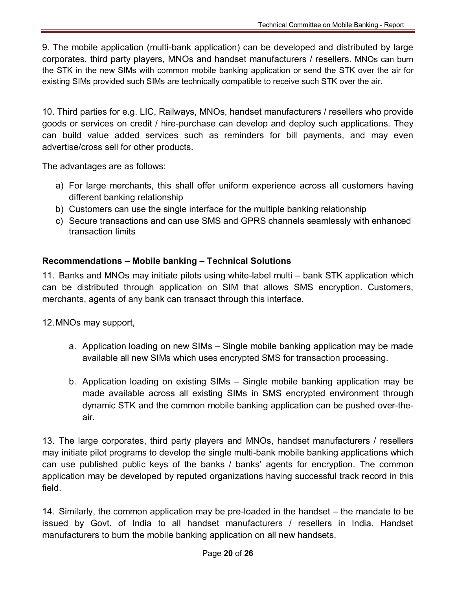9. The mobile application (multi-bank application) can be developed and distributed by large corporates, third party players, MNOs and handset manufacturers / resellers. MNOs can burn the STK in the new SIMs with common mobile banking application or send the STK over the air for existing SIMs provided such SIMs are technically compatible to receive such STK over the air.

10. Third parties for e.g. LIC, Railways, MNOs, handset manufacturers / resellers who provide goods or services on credit / hire-purchase can develop and deploy such applications. They can build value added services such as reminders for bill payments, and may even advertise/cross sell for other products.

The advantages are as follows:

- a) For large merchants, this shall offer uniform experience across all customers having different banking relationship
- b) Customers can use the single interface for the multiple banking relationship
- c) Secure transactions and can use SMS and GPRS channels seamlessly with enhanced transaction limits

### **Recommendations – Mobile banking – Technical Solutions**

11. Banks and MNOs may initiate pilots using white-label multi – bank STK application which can be distributed through application on SIM that allows SMS encryption. Customers, merchants, agents of any bank can transact through this interface.

12. MNOs may support,

- a. Application loading on new SIMs Single mobile banking application may be made available all new SIMs which uses encrypted SMS for transaction processing.
- b. Application loading on existing SIMs Single mobile banking application may be made available across all existing SIMs in SMS encrypted environment through dynamic STK and the common mobile banking application can be pushed over-theair.

13. The large corporates, third party players and MNOs, handset manufacturers / resellers may initiate pilot programs to develop the single multi-bank mobile banking applications which can use published public keys of the banks / banks' agents for encryption. The common application may be developed by reputed organizations having successful track record in this field.

14. Similarly, the common application may be pre-loaded in the handset – the mandate to be issued by Govt. of India to all handset manufacturers / resellers in India. Handset manufacturers to burn the mobile banking application on all new handsets.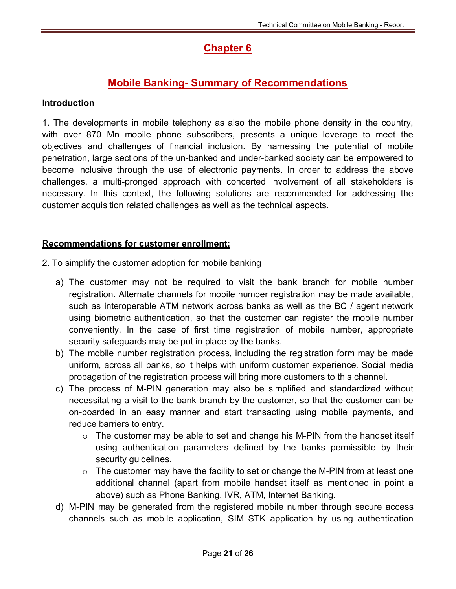# **Chapter 6**

# **Mobile Banking- Summary of Recommendations**

### **Introduction**

1. The developments in mobile telephony as also the mobile phone density in the country, with over 870 Mn mobile phone subscribers, presents a unique leverage to meet the objectives and challenges of financial inclusion. By harnessing the potential of mobile penetration, large sections of the un-banked and under-banked society can be empowered to become inclusive through the use of electronic payments. In order to address the above challenges, a multi-pronged approach with concerted involvement of all stakeholders is necessary. In this context, the following solutions are recommended for addressing the customer acquisition related challenges as well as the technical aspects.

### **Recommendations for customer enrollment:**

- 2. To simplify the customer adoption for mobile banking
	- a) The customer may not be required to visit the bank branch for mobile number registration. Alternate channels for mobile number registration may be made available, such as interoperable ATM network across banks as well as the BC / agent network using biometric authentication, so that the customer can register the mobile number conveniently. In the case of first time registration of mobile number, appropriate security safeguards may be put in place by the banks.
	- b) The mobile number registration process, including the registration form may be made uniform, across all banks, so it helps with uniform customer experience. Social media propagation of the registration process will bring more customers to this channel.
	- c) The process of M-PIN generation may also be simplified and standardized without necessitating a visit to the bank branch by the customer, so that the customer can be on-boarded in an easy manner and start transacting using mobile payments, and reduce barriers to entry.
		- $\circ$  The customer may be able to set and change his M-PIN from the handset itself using authentication parameters defined by the banks permissible by their security guidelines.
		- $\circ$  The customer may have the facility to set or change the M-PIN from at least one additional channel (apart from mobile handset itself as mentioned in point a above) such as Phone Banking, IVR, ATM, Internet Banking.
	- d) M-PIN may be generated from the registered mobile number through secure access channels such as mobile application, SIM STK application by using authentication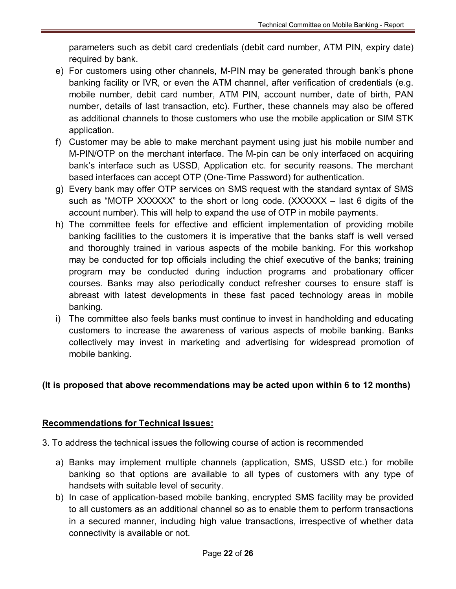parameters such as debit card credentials (debit card number, ATM PIN, expiry date) required by bank.

- e) For customers using other channels, M-PIN may be generated through bank's phone banking facility or IVR, or even the ATM channel, after verification of credentials (e.g. mobile number, debit card number, ATM PIN, account number, date of birth, PAN number, details of last transaction, etc). Further, these channels may also be offered as additional channels to those customers who use the mobile application or SIM STK application.
- f) Customer may be able to make merchant payment using just his mobile number and M-PIN/OTP on the merchant interface. The M-pin can be only interfaced on acquiring bank's interface such as USSD, Application etc. for security reasons. The merchant based interfaces can accept OTP (One-Time Password) for authentication.
- g) Every bank may offer OTP services on SMS request with the standard syntax of SMS such as "MOTP XXXXXX" to the short or long code. (XXXXXX – last 6 digits of the account number). This will help to expand the use of OTP in mobile payments.
- h) The committee feels for effective and efficient implementation of providing mobile banking facilities to the customers it is imperative that the banks staff is well versed and thoroughly trained in various aspects of the mobile banking. For this workshop may be conducted for top officials including the chief executive of the banks; training program may be conducted during induction programs and probationary officer courses. Banks may also periodically conduct refresher courses to ensure staff is abreast with latest developments in these fast paced technology areas in mobile banking.
- i) The committee also feels banks must continue to invest in handholding and educating customers to increase the awareness of various aspects of mobile banking. Banks collectively may invest in marketing and advertising for widespread promotion of mobile banking.

### **(It is proposed that above recommendations may be acted upon within 6 to 12 months)**

### **Recommendations for Technical Issues:**

- 3. To address the technical issues the following course of action is recommended
	- a) Banks may implement multiple channels (application, SMS, USSD etc.) for mobile banking so that options are available to all types of customers with any type of handsets with suitable level of security.
	- b) In case of application-based mobile banking, encrypted SMS facility may be provided to all customers as an additional channel so as to enable them to perform transactions in a secured manner, including high value transactions, irrespective of whether data connectivity is available or not.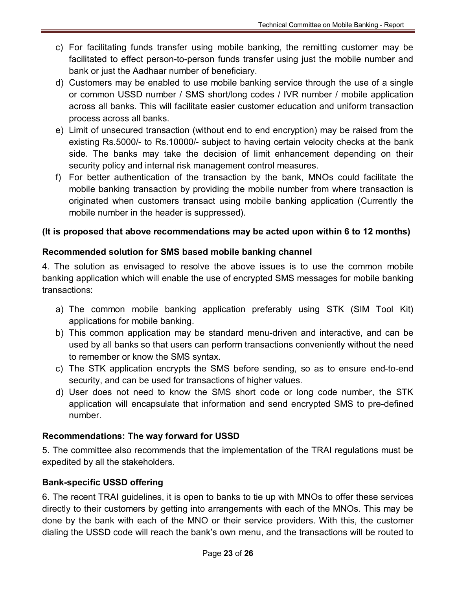- c) For facilitating funds transfer using mobile banking, the remitting customer may be facilitated to effect person-to-person funds transfer using just the mobile number and bank or just the Aadhaar number of beneficiary.
- d) Customers may be enabled to use mobile banking service through the use of a single or common USSD number / SMS short/long codes / IVR number / mobile application across all banks. This will facilitate easier customer education and uniform transaction process across all banks.
- e) Limit of unsecured transaction (without end to end encryption) may be raised from the existing Rs.5000/- to Rs.10000/- subject to having certain velocity checks at the bank side. The banks may take the decision of limit enhancement depending on their security policy and internal risk management control measures.
- f) For better authentication of the transaction by the bank, MNOs could facilitate the mobile banking transaction by providing the mobile number from where transaction is originated when customers transact using mobile banking application (Currently the mobile number in the header is suppressed).

### **(It is proposed that above recommendations may be acted upon within 6 to 12 months)**

### **Recommended solution for SMS based mobile banking channel**

4. The solution as envisaged to resolve the above issues is to use the common mobile banking application which will enable the use of encrypted SMS messages for mobile banking transactions:

- a) The common mobile banking application preferably using STK (SIM Tool Kit) applications for mobile banking.
- b) This common application may be standard menu-driven and interactive, and can be used by all banks so that users can perform transactions conveniently without the need to remember or know the SMS syntax.
- c) The STK application encrypts the SMS before sending, so as to ensure end-to-end security, and can be used for transactions of higher values.
- d) User does not need to know the SMS short code or long code number, the STK application will encapsulate that information and send encrypted SMS to pre-defined number.

### **Recommendations: The way forward for USSD**

5. The committee also recommends that the implementation of the TRAI regulations must be expedited by all the stakeholders.

### **Bank-specific USSD offering**

6. The recent TRAI guidelines, it is open to banks to tie up with MNOs to offer these services directly to their customers by getting into arrangements with each of the MNOs. This may be done by the bank with each of the MNO or their service providers. With this, the customer dialing the USSD code will reach the bank's own menu, and the transactions will be routed to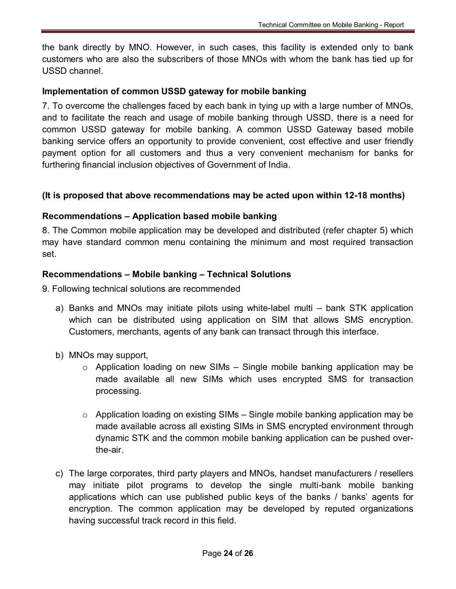the bank directly by MNO. However, in such cases, this facility is extended only to bank customers who are also the subscribers of those MNOs with whom the bank has tied up for USSD channel.

### **Implementation of common USSD gateway for mobile banking**

7. To overcome the challenges faced by each bank in tying up with a large number of MNOs, and to facilitate the reach and usage of mobile banking through USSD, there is a need for common USSD gateway for mobile banking. A common USSD Gateway based mobile banking service offers an opportunity to provide convenient, cost effective and user friendly payment option for all customers and thus a very convenient mechanism for banks for furthering financial inclusion objectives of Government of India.

### **(It is proposed that above recommendations may be acted upon within 12-18 months)**

### **Recommendations – Application based mobile banking**

8. The Common mobile application may be developed and distributed (refer chapter 5) which may have standard common menu containing the minimum and most required transaction set.

### **Recommendations – Mobile banking – Technical Solutions**

9. Following technical solutions are recommended

- a) Banks and MNOs may initiate pilots using white-label multi bank STK application which can be distributed using application on SIM that allows SMS encryption. Customers, merchants, agents of any bank can transact through this interface.
- b) MNOs may support,
	- o Application loading on new SIMs Single mobile banking application may be made available all new SIMs which uses encrypted SMS for transaction processing.
	- o Application loading on existing SIMs Single mobile banking application may be made available across all existing SIMs in SMS encrypted environment through dynamic STK and the common mobile banking application can be pushed overthe-air.
- c) The large corporates, third party players and MNOs, handset manufacturers / resellers may initiate pilot programs to develop the single multi-bank mobile banking applications which can use published public keys of the banks / banks' agents for encryption. The common application may be developed by reputed organizations having successful track record in this field.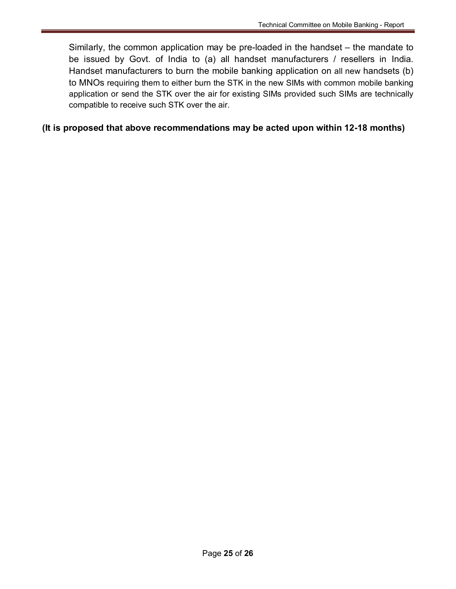Similarly, the common application may be pre-loaded in the handset – the mandate to be issued by Govt. of India to (a) all handset manufacturers / resellers in India. Handset manufacturers to burn the mobile banking application on all new handsets (b) to MNOs requiring them to either burn the STK in the new SIMs with common mobile banking application or send the STK over the air for existing SIMs provided such SIMs are technically compatible to receive such STK over the air.

### **(It is proposed that above recommendations may be acted upon within 12-18 months)**